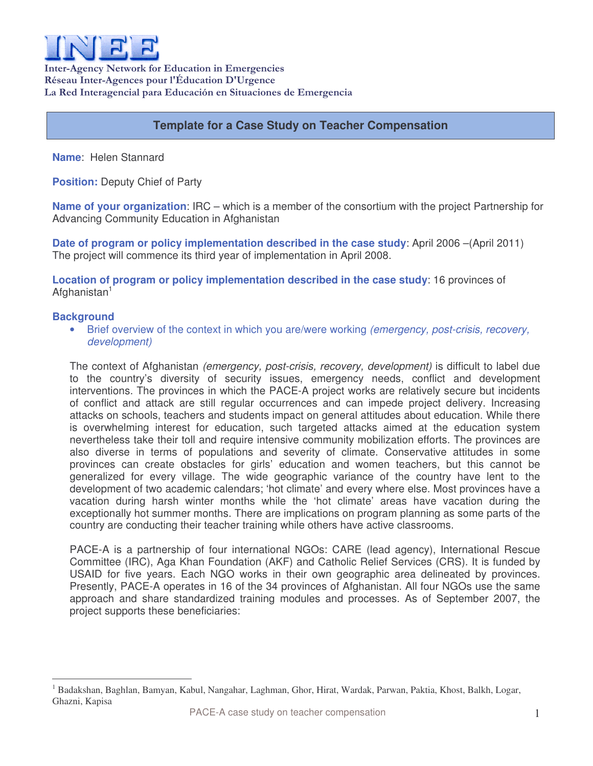

Inter-Agency Network for Education in Emergencies Réseau Inter-Agences pour l'Éducation D'Urgence La Red Interagencial para Educación en Situaciones de Emergencia

# **Template for a Case Study on Teacher Compensation**

**Name**: Helen Stannard

**Position:** Deputy Chief of Party

**Name of your organization**: IRC – which is a member of the consortium with the project Partnership for Advancing Community Education in Afghanistan

**Date of program or policy implementation described in the case study**: April 2006 –(April 2011) The project will commence its third year of implementation in April 2008.

**Location of program or policy implementation described in the case study**: 16 provinces of Afghanistan<sup>1</sup>

### **Background**

• Brief overview of the context in which you are/were working *(emergency, post-crisis, recovery, development)*

The context of Afghanistan *(emergency, post-crisis, recovery, development)* is difficult to label due to the country's diversity of security issues, emergency needs, conflict and development interventions. The provinces in which the PACE-A project works are relatively secure but incidents of conflict and attack are still regular occurrences and can impede project delivery. Increasing attacks on schools, teachers and students impact on general attitudes about education. While there is overwhelming interest for education, such targeted attacks aimed at the education system nevertheless take their toll and require intensive community mobilization efforts. The provinces are also diverse in terms of populations and severity of climate. Conservative attitudes in some provinces can create obstacles for girls' education and women teachers, but this cannot be generalized for every village. The wide geographic variance of the country have lent to the development of two academic calendars; 'hot climate' and every where else. Most provinces have a vacation during harsh winter months while the 'hot climate' areas have vacation during the exceptionally hot summer months. There are implications on program planning as some parts of the country are conducting their teacher training while others have active classrooms.

PACE-A is a partnership of four international NGOs: CARE (lead agency), International Rescue Committee (IRC), Aga Khan Foundation (AKF) and Catholic Relief Services (CRS). It is funded by USAID for five years. Each NGO works in their own geographic area delineated by provinces. Presently, PACE-A operates in 16 of the 34 provinces of Afghanistan. All four NGOs use the same approach and share standardized training modules and processes. As of September 2007, the project supports these beneficiaries:

<sup>1</sup> Badakshan, Baghlan, Bamyan, Kabul, Nangahar, Laghman, Ghor, Hirat, Wardak, Parwan, Paktia, Khost, Balkh, Logar, Ghazni, Kapisa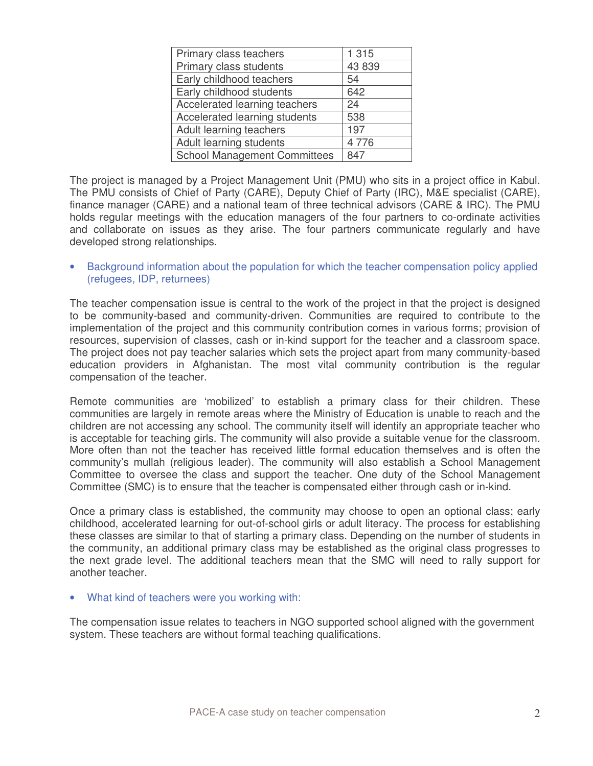| Primary class teachers              | 1 3 1 5 |
|-------------------------------------|---------|
| Primary class students              | 43 839  |
| Early childhood teachers            | 54      |
| Early childhood students            | 642     |
| Accelerated learning teachers       | 24      |
| Accelerated learning students       | 538     |
| Adult learning teachers             | 197     |
| Adult learning students             | 4776    |
| <b>School Management Committees</b> | 847     |

The project is managed by a Project Management Unit (PMU) who sits in a project office in Kabul. The PMU consists of Chief of Party (CARE), Deputy Chief of Party (IRC), M&E specialist (CARE), finance manager (CARE) and a national team of three technical advisors (CARE & IRC). The PMU holds regular meetings with the education managers of the four partners to co-ordinate activities and collaborate on issues as they arise. The four partners communicate regularly and have developed strong relationships.

• Background information about the population for which the teacher compensation policy applied (refugees, IDP, returnees)

The teacher compensation issue is central to the work of the project in that the project is designed to be community-based and community-driven. Communities are required to contribute to the implementation of the project and this community contribution comes in various forms; provision of resources, supervision of classes, cash or in-kind support for the teacher and a classroom space. The project does not pay teacher salaries which sets the project apart from many community-based education providers in Afghanistan. The most vital community contribution is the regular compensation of the teacher.

Remote communities are 'mobilized' to establish a primary class for their children. These communities are largely in remote areas where the Ministry of Education is unable to reach and the children are not accessing any school. The community itself will identify an appropriate teacher who is acceptable for teaching girls. The community will also provide a suitable venue for the classroom. More often than not the teacher has received little formal education themselves and is often the community's mullah (religious leader). The community will also establish a School Management Committee to oversee the class and support the teacher. One duty of the School Management Committee (SMC) is to ensure that the teacher is compensated either through cash or in-kind.

Once a primary class is established, the community may choose to open an optional class; early childhood, accelerated learning for out-of-school girls or adult literacy. The process for establishing these classes are similar to that of starting a primary class. Depending on the number of students in the community, an additional primary class may be established as the original class progresses to the next grade level. The additional teachers mean that the SMC will need to rally support for another teacher.

• What kind of teachers were you working with:

The compensation issue relates to teachers in NGO supported school aligned with the government system. These teachers are without formal teaching qualifications.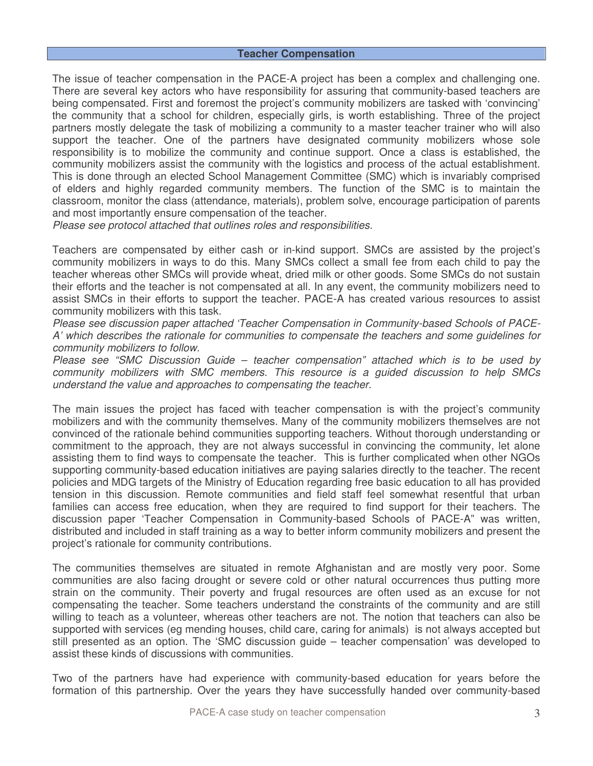#### **Teacher Compensation**

The issue of teacher compensation in the PACE-A project has been a complex and challenging one. There are several key actors who have responsibility for assuring that community-based teachers are being compensated. First and foremost the project's community mobilizers are tasked with 'convincing' the community that a school for children, especially girls, is worth establishing. Three of the project partners mostly delegate the task of mobilizing a community to a master teacher trainer who will also support the teacher. One of the partners have designated community mobilizers whose sole responsibility is to mobilize the community and continue support. Once a class is established, the community mobilizers assist the community with the logistics and process of the actual establishment. This is done through an elected School Management Committee (SMC) which is invariably comprised of elders and highly regarded community members. The function of the SMC is to maintain the classroom, monitor the class (attendance, materials), problem solve, encourage participation of parents and most importantly ensure compensation of the teacher.

*Please see protocol attached that outlines roles and responsibilities.*

Teachers are compensated by either cash or in-kind support. SMCs are assisted by the project's community mobilizers in ways to do this. Many SMCs collect a small fee from each child to pay the teacher whereas other SMCs will provide wheat, dried milk or other goods. Some SMCs do not sustain their efforts and the teacher is not compensated at all. In any event, the community mobilizers need to assist SMCs in their efforts to support the teacher. PACE-A has created various resources to assist community mobilizers with this task.

*Please see discussion paper attached 'Teacher Compensation in Community-based Schools of PACE-A' which describes the rationale for communities to compensate the teachers and some guidelines for community mobilizers to follow.*

*Please see "SMC Discussion Guide – teacher compensation" attached which is to be used by community mobilizers with SMC members. This resource is a guided discussion to help SMCs understand the value and approaches to compensating the teacher.*

The main issues the project has faced with teacher compensation is with the project's community mobilizers and with the community themselves. Many of the community mobilizers themselves are not convinced of the rationale behind communities supporting teachers. Without thorough understanding or commitment to the approach, they are not always successful in convincing the community, let alone assisting them to find ways to compensate the teacher. This is further complicated when other NGOs supporting community-based education initiatives are paying salaries directly to the teacher. The recent policies and MDG targets of the Ministry of Education regarding free basic education to all has provided tension in this discussion. Remote communities and field staff feel somewhat resentful that urban families can access free education, when they are required to find support for their teachers. The discussion paper 'Teacher Compensation in Community-based Schools of PACE-A" was written, distributed and included in staff training as a way to better inform community mobilizers and present the project's rationale for community contributions.

The communities themselves are situated in remote Afghanistan and are mostly very poor. Some communities are also facing drought or severe cold or other natural occurrences thus putting more strain on the community. Their poverty and frugal resources are often used as an excuse for not compensating the teacher. Some teachers understand the constraints of the community and are still willing to teach as a volunteer, whereas other teachers are not. The notion that teachers can also be supported with services (eg mending houses, child care, caring for animals) is not always accepted but still presented as an option. The 'SMC discussion guide – teacher compensation' was developed to assist these kinds of discussions with communities.

Two of the partners have had experience with community-based education for years before the formation of this partnership. Over the years they have successfully handed over community-based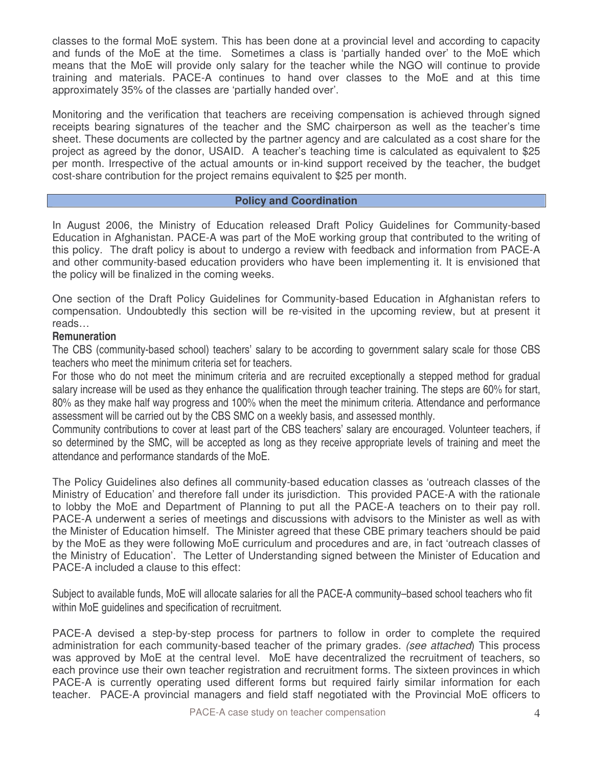classes to the formal MoE system. This has been done at a provincial level and according to capacity and funds of the MoE at the time. Sometimes a class is 'partially handed over' to the MoE which means that the MoE will provide only salary for the teacher while the NGO will continue to provide training and materials. PACE-A continues to hand over classes to the MoE and at this time approximately 35% of the classes are 'partially handed over'.

Monitoring and the verification that teachers are receiving compensation is achieved through signed receipts bearing signatures of the teacher and the SMC chairperson as well as the teacher's time sheet. These documents are collected by the partner agency and are calculated as a cost share for the project as agreed by the donor, USAID. A teacher's teaching time is calculated as equivalent to \$25 per month. Irrespective of the actual amounts or in-kind support received by the teacher, the budget cost-share contribution for the project remains equivalent to \$25 per month.

### **Policy and Coordination**

In August 2006, the Ministry of Education released Draft Policy Guidelines for Community-based Education in Afghanistan. PACE-A was part of the MoE working group that contributed to the writing of this policy. The draft policy is about to undergo a review with feedback and information from PACE-A and other community-based education providers who have been implementing it. It is envisioned that the policy will be finalized in the coming weeks.

One section of the Draft Policy Guidelines for Community-based Education in Afghanistan refers to compensation. Undoubtedly this section will be re-visited in the upcoming review, but at present it reads…

## **Remuneration**

The CBS (community-based school) teachers' salary to be according to government salary scale for those CBS teachers who meet the minimum criteria set for teachers.

For those who do not meet the minimum criteria and are recruited exceptionally a stepped method for gradual salary increase will be used as they enhance the qualification through teacher training. The steps are 60% for start, 80% as they make half way progress and 100% when the meet the minimum criteria. Attendance and performance assessment will be carried out by the CBS SMC on a weekly basis, and assessed monthly.

Community contributions to cover at least part of the CBS teachers' salary are encouraged. Volunteer teachers, if so determined by the SMC, will be accepted as long as they receive appropriate levels of training and meet the attendance and performance standards of the MoE.

The Policy Guidelines also defines all community-based education classes as 'outreach classes of the Ministry of Education' and therefore fall under its jurisdiction. This provided PACE-A with the rationale to lobby the MoE and Department of Planning to put all the PACE-A teachers on to their pay roll. PACE-A underwent a series of meetings and discussions with advisors to the Minister as well as with the Minister of Education himself. The Minister agreed that these CBE primary teachers should be paid by the MoE as they were following MoE curriculum and procedures and are, in fact 'outreach classes of the Ministry of Education'. The Letter of Understanding signed between the Minister of Education and PACE-A included a clause to this effect:

Subject to available funds, MoE will allocate salaries for all the PACE-A community–based school teachers who fit within MoE guidelines and specification of recruitment.

PACE-A devised a step-by-step process for partners to follow in order to complete the required administration for each community-based teacher of the primary grades. *(see attached*) This process was approved by MoE at the central level. MoE have decentralized the recruitment of teachers, so each province use their own teacher registration and recruitment forms. The sixteen provinces in which PACE-A is currently operating used different forms but required fairly similar information for each teacher. PACE-A provincial managers and field staff negotiated with the Provincial MoE officers to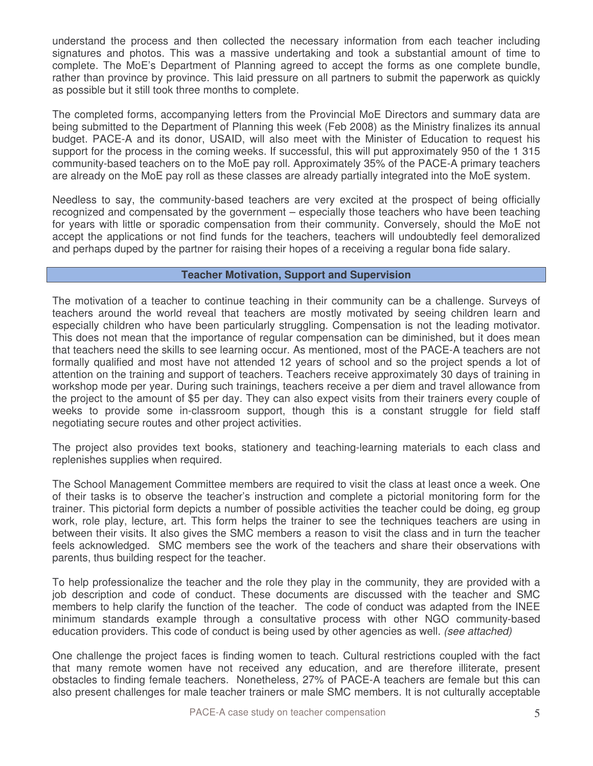understand the process and then collected the necessary information from each teacher including signatures and photos. This was a massive undertaking and took a substantial amount of time to complete. The MoE's Department of Planning agreed to accept the forms as one complete bundle, rather than province by province. This laid pressure on all partners to submit the paperwork as quickly as possible but it still took three months to complete.

The completed forms, accompanying letters from the Provincial MoE Directors and summary data are being submitted to the Department of Planning this week (Feb 2008) as the Ministry finalizes its annual budget. PACE-A and its donor, USAID, will also meet with the Minister of Education to request his support for the process in the coming weeks. If successful, this will put approximately 950 of the 1 315 community-based teachers on to the MoE pay roll. Approximately 35% of the PACE-A primary teachers are already on the MoE pay roll as these classes are already partially integrated into the MoE system.

Needless to say, the community-based teachers are very excited at the prospect of being officially recognized and compensated by the government – especially those teachers who have been teaching for years with little or sporadic compensation from their community. Conversely, should the MoE not accept the applications or not find funds for the teachers, teachers will undoubtedly feel demoralized and perhaps duped by the partner for raising their hopes of a receiving a regular bona fide salary.

### **Teacher Motivation, Support and Supervision**

The motivation of a teacher to continue teaching in their community can be a challenge. Surveys of teachers around the world reveal that teachers are mostly motivated by seeing children learn and especially children who have been particularly struggling. Compensation is not the leading motivator. This does not mean that the importance of regular compensation can be diminished, but it does mean that teachers need the skills to see learning occur. As mentioned, most of the PACE-A teachers are not formally qualified and most have not attended 12 years of school and so the project spends a lot of attention on the training and support of teachers. Teachers receive approximately 30 days of training in workshop mode per year. During such trainings, teachers receive a per diem and travel allowance from the project to the amount of \$5 per day. They can also expect visits from their trainers every couple of weeks to provide some in-classroom support, though this is a constant struggle for field staff negotiating secure routes and other project activities.

The project also provides text books, stationery and teaching-learning materials to each class and replenishes supplies when required.

The School Management Committee members are required to visit the class at least once a week. One of their tasks is to observe the teacher's instruction and complete a pictorial monitoring form for the trainer. This pictorial form depicts a number of possible activities the teacher could be doing, eg group work, role play, lecture, art. This form helps the trainer to see the techniques teachers are using in between their visits. It also gives the SMC members a reason to visit the class and in turn the teacher feels acknowledged. SMC members see the work of the teachers and share their observations with parents, thus building respect for the teacher.

To help professionalize the teacher and the role they play in the community, they are provided with a job description and code of conduct. These documents are discussed with the teacher and SMC members to help clarify the function of the teacher. The code of conduct was adapted from the INEE minimum standards example through a consultative process with other NGO community-based education providers. This code of conduct is being used by other agencies as well. *(see attached)*

One challenge the project faces is finding women to teach. Cultural restrictions coupled with the fact that many remote women have not received any education, and are therefore illiterate, present obstacles to finding female teachers. Nonetheless, 27% of PACE-A teachers are female but this can also present challenges for male teacher trainers or male SMC members. It is not culturally acceptable